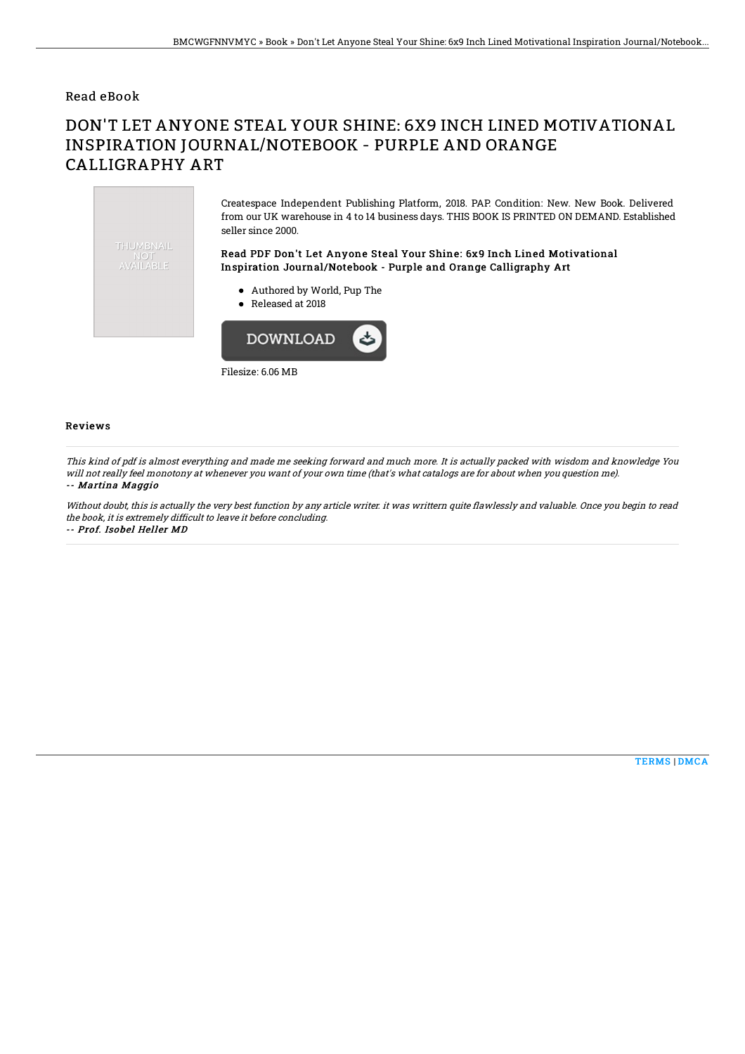## Read eBook

## DON'T LET ANYONE STEAL YOUR SHINE: 6X9 INCH LINED MOTIVATIONAL INSPIRATION JOURNAL/NOTEBOOK - PURPLE AND ORANGE CALLIGRAPHY ART

Createspace Independent Publishing Platform, 2018. PAP. Condition: New. New Book. Delivered from our UK warehouse in 4 to 14 business days. THIS BOOK IS PRINTED ON DEMAND. Established seller since 2000. THUMBNAIL Read PDF Don't Let Anyone Steal Your Shine: 6x9 Inch Lined Motivational NOT<br>AVAILABLE Inspiration Journal/Notebook - Purple and Orange Calligraphy Art Authored by World, Pup The Released at 2018 **DOWNLOAD** 

Filesize: 6.06 MB

## Reviews

This kind of pdf is almost everything and made me seeking forward and much more. It is actually packed with wisdom and knowledge You will not really feel monotony at whenever you want of your own time (that's what catalogs are for about when you question me). -- Martina Maggio

Without doubt, this is actually the very best function by any article writer. it was writtern quite Bawlessly and valuable. Once you begin to read the book, it is extremely difficult to leave it before concluding.

-- Prof. Isobel Heller MD